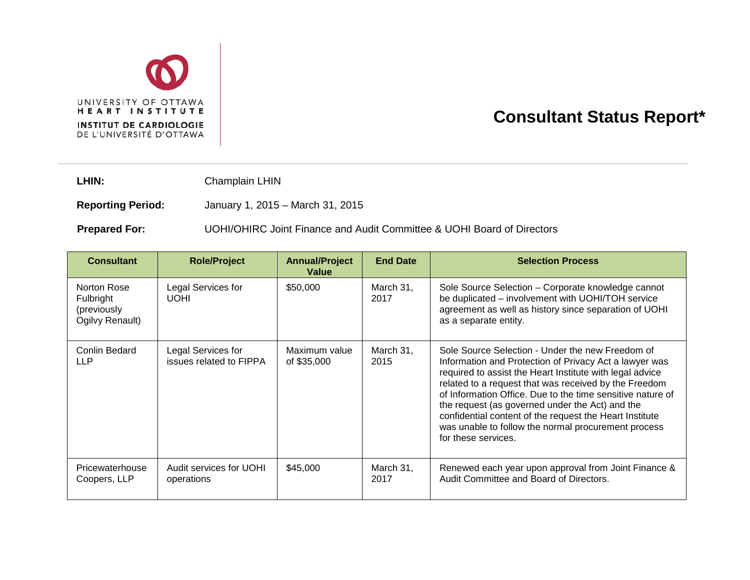

## **Consultant Status Report\***

LHIN: Champlain LHIN

**Reporting Period:** January 1, 2015 – March 31, 2015

**Prepared For:** UOHI/OHIRC Joint Finance and Audit Committee & UOHI Board of Directors

| <b>Consultant</b>                                          | <b>Role/Project</b>                           | <b>Annual/Project</b><br>Value | <b>End Date</b>   | <b>Selection Process</b>                                                                                                                                                                                                                                                                                                                                                                                                                                                                  |
|------------------------------------------------------------|-----------------------------------------------|--------------------------------|-------------------|-------------------------------------------------------------------------------------------------------------------------------------------------------------------------------------------------------------------------------------------------------------------------------------------------------------------------------------------------------------------------------------------------------------------------------------------------------------------------------------------|
| Norton Rose<br>Fulbright<br>(previously<br>Ogilvy Renault) | Legal Services for<br><b>UOHI</b>             | \$50,000                       | March 31,<br>2017 | Sole Source Selection - Corporate knowledge cannot<br>be duplicated - involvement with UOHI/TOH service<br>agreement as well as history since separation of UOHI<br>as a separate entity.                                                                                                                                                                                                                                                                                                 |
| Conlin Bedard<br>LLP                                       | Legal Services for<br>issues related to FIPPA | Maximum value<br>of \$35,000   | March 31,<br>2015 | Sole Source Selection - Under the new Freedom of<br>Information and Protection of Privacy Act a lawyer was<br>required to assist the Heart Institute with legal advice<br>related to a request that was received by the Freedom<br>of Information Office. Due to the time sensitive nature of<br>the request (as governed under the Act) and the<br>confidential content of the request the Heart Institute<br>was unable to follow the normal procurement process<br>for these services. |
| Pricewaterhouse<br>Coopers, LLP                            | Audit services for UOHI<br>operations         | \$45,000                       | March 31,<br>2017 | Renewed each year upon approval from Joint Finance &<br>Audit Committee and Board of Directors.                                                                                                                                                                                                                                                                                                                                                                                           |